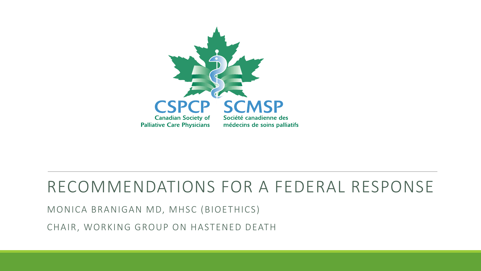

### RECOMMENDATIONS FOR A FEDERAL RESPONSE

MONICA BRANIGAN MD, MHSC (BIOETHICS)

CHAIR, WORKING GROUP ON HASTENED DEATH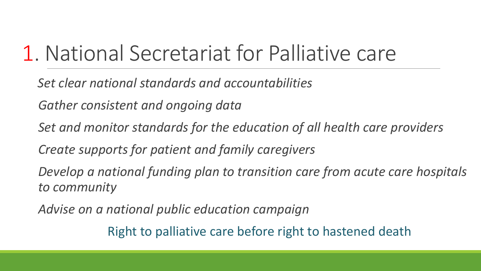# 1. National Secretariat for Palliative care

*Set clear national standards and accountabilities* 

*Gather consistent and ongoing data* 

*Set and monitor standards for the education of all health care providers* 

*Create supports for patient and family caregivers*

*Develop a national funding plan to transition care from acute care hospitals to community*

*Advise on a national public education campaign*

Right to palliative care before right to hastened death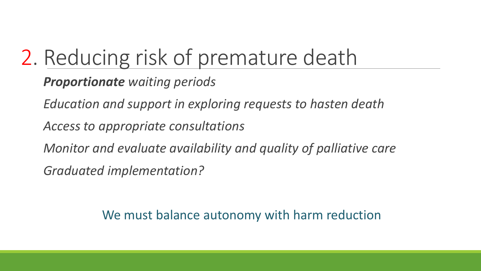# 2. Reducing risk of premature death

*Proportionate waiting periods*

*Education and support in exploring requests to hasten death*

*Access to appropriate consultations*

*Monitor and evaluate availability and quality of palliative care* 

*Graduated implementation?*

We must balance autonomy with harm reduction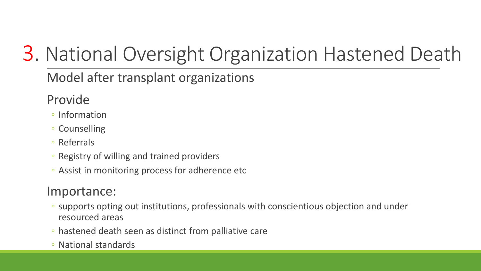## 3. National Oversight Organization Hastened Death

#### Model after transplant organizations

#### Provide

- Information
- Counselling
- Referrals
- Registry of willing and trained providers
- Assist in monitoring process for adherence etc

#### Importance:

- supports opting out institutions, professionals with conscientious objection and under resourced areas
- hastened death seen as distinct from palliative care
- National standards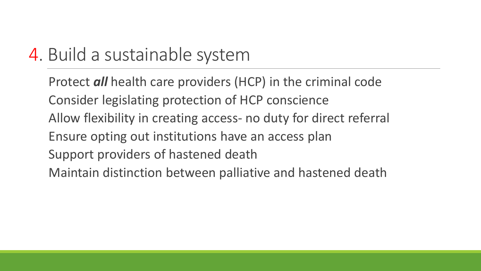### 4. Build a sustainable system

Protect *all* health care providers (HCP) in the criminal code Consider legislating protection of HCP conscience Allow flexibility in creating access- no duty for direct referral Ensure opting out institutions have an access plan Support providers of hastened death Maintain distinction between palliative and hastened death